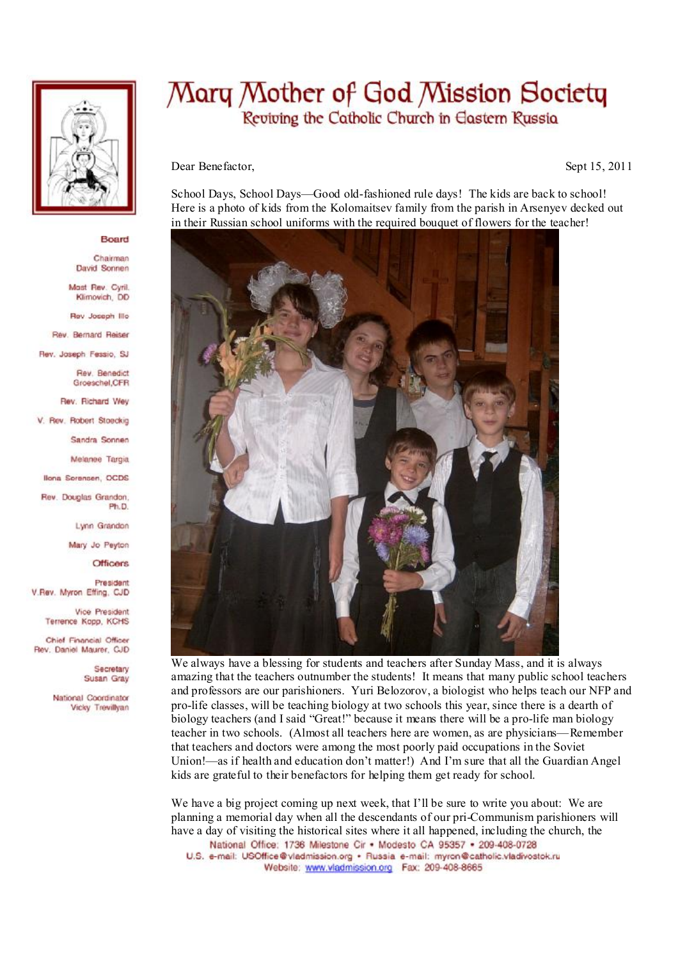

## Board

Chairman David Sonnen

Most Rev. Cyril. Klimovich, DD

Rev Joseph Illo

Rev. Bernard Reiser

Rev. Joseph Fessio, SJ

Rev. Benedict Groeschel, CFR

Rev. Richard Wey

V. Rev. Robert Stoeckig

Sandra Sonnen

Melanee Tarois

**Ilona Sorensen, OCDS** 

Rev. Douglas Grandon. Ph.D

Lynn Grandon

Mary Jo Peyton

**Officers** 

President V.Rev. Myron Effing, CJD

> Vice President Terrence Kopp, KCHS

Chief Financial Officer Rev. Daniel Maurer, CJD

> Secretary Susan Gray

National Coordinator Vicky Trevillvan

## Mary Mother of God Mission Society Reviving the Catholic Church in Eastern Russia

Dear Benefactor,

Sept 15, 2011

School Days, School Days—Good old-fashioned rule days! The kids are back to school! Here is a photo of kids from the Kolomaitsey family from the parish in Arsenyey decked out in their Russian school uniforms with the required bouquet of flowers for the teacher!



We always have a blessing for students and teachers after Sunday Mass, and it is always amazing that the teachers outnumber the students! It means that many public school teachers and professors are our parishioners. Yuri Belozorov, a biologist who helps teach our NFP and pro-life classes, will be teaching biology at two schools this year, since there is a dearth of biology teachers (and I said "Great!" because it means there will be a pro-life man biology teacher in two schools. (Almost all teachers here are women, as are physicians—Remember that teachers and doctors were among the most poorly paid occupations in the Soviet Union!—as if health and education don't matter!) And I'm sure that all the Guardian Angel kids are grateful to their benefactors for helping them get ready for school.

We have a big project coming up next week, that I'll be sure to write you about: We are planning a memorial day when all the descendants of our pri-Communism parishioners will have a day of visiting the historical sites where it all happened, including the church, the National Office: 1736 Milestone Cir . Modesto CA 95357 . 209-408-0728

U.S. e-mail: USOffice@vladmission.org · Russia e-mail: myron@catholic.vladivostok.ru Website: www.vladmission.org Fax: 209-408-8665